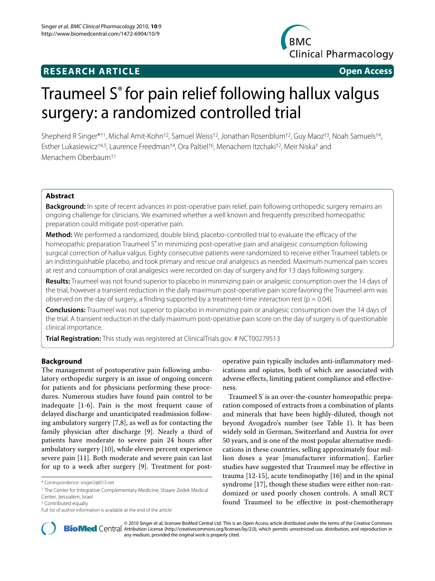# **RESEARCH ARTICLE Open Access**



# Traumeel S<sup>®</sup> for pain relief following hallux valgus surgery: a randomized controlled trial

Shepherd R Singer\*†1, Michal Amit-Kohn†2, Samuel Weiss†2, Jonathan Rosenblum†2, Guy Maoz†3, Noah Samuels†4, Esther Lukasiewicz†4,5, Laurence Freedman†4, Ora Paltiel†6, Menachem Itzchaki†2, Meir Niska† and Menachem Oberbaum†1

# **Abstract**

**Background:** In spite of recent advances in post-operative pain relief, pain following orthopedic surgery remains an ongoing challenge for clinicians. We examined whether a well known and frequently prescribed homeopathic preparation could mitigate post-operative pain.

**Method:** We performed a randomized, double blind, placebo-controlled trial to evaluate the efficacy of the homeopathic preparation Traumeel S<sup>®</sup> in minimizing post-operative pain and analgesic consumption following surgical correction of hallux valgus. Eighty consecutive patients were randomized to receive either Traumeel tablets or an indistinguishable placebo, and took primary and rescue oral analgesics as needed. Maximum numerical pain scores at rest and consumption of oral analgesics were recorded on day of surgery and for 13 days following surgery.

**Results:** Traumeel was not found superior to placebo in minimizing pain or analgesic consumption over the 14 days of the trial, however a transient reduction in the daily maximum post-operative pain score favoring the Traumeel arm was observed on the day of surgery, a finding supported by a treatment-time interaction test ( $p = 0.04$ ).

**Conclusions:** Traumeel was not superior to placebo in minimizing pain or analgesic consumption over the 14 days of the trial. A transient reduction in the daily maximum post-operative pain score on the day of surgery is of questionable clinical importance.

**Trial Registration:** This study was registered at ClinicalTrials.gov. # NCT00279513

# **Background**

The management of postoperative pain following ambulatory orthopedic surgery is an issue of ongoing concern for patients and for physicians performing these procedures. Numerous studies have found pain control to be inadequate [\[1](#page-6-0)-[6\]](#page-6-1). Pain is the most frequent cause of delayed discharge and unanticipated readmission following ambulatory surgery [\[7](#page-6-2),[8](#page-6-3)], as well as for contacting the family physician after discharge [[9\]](#page-6-4). Nearly a third of patients have moderate to severe pain 24 hours after ambulatory surgery [\[10](#page-6-5)], while eleven percent experience severe pain [\[11\]](#page-6-6). Both moderate and severe pain can last for up to a week after surgery [[9\]](#page-6-4). Treatment for postoperative pain typically includes anti-inflammatory medications and opiates, both of which are associated with adverse effects, limiting patient compliance and effectiveness.

Traumeel S<sup>°</sup> is an over-the-counter homeopathic preparation composed of extracts from a combination of plants and minerals that have been highly-diluted, though not beyond Avogadro's number (see Table 1). It has been widely sold in German, Switzerland and Austria for over 50 years, and is one of the most popular alternative medications in these countries, selling approximately four million doses a year [manufacturer information]. Earlier studies have suggested that Traumeel may be effective in trauma [[12-](#page-6-7)[15\]](#page-7-0), acute tendinopathy [\[16\]](#page-7-1) and in the spinal syndrome [[17\]](#page-7-2), though these studies were either non-randomized or used poorly chosen controls. A small RCT found Traumeel to be effective in post-chemotherapy



2010 Singer et al; licensee [BioMed](http://www.biomedcentral.com/) Central Ltd. This is an Open Access article distributed under the terms of the Creative Commons (http://creativecommons.org/licenses/by/2.0), which permits unrestricted use, distribution, any medium, provided the original work is properly cited.

<sup>\*</sup> Correspondence: singer2@013.net

<sup>1</sup> The Center for Integrative Complementary Medicine, Shaare Zedek Medical

Center, Jerusalem, Israel

<sup>†</sup> Contributed equally

Full list of author information is available at the end of the article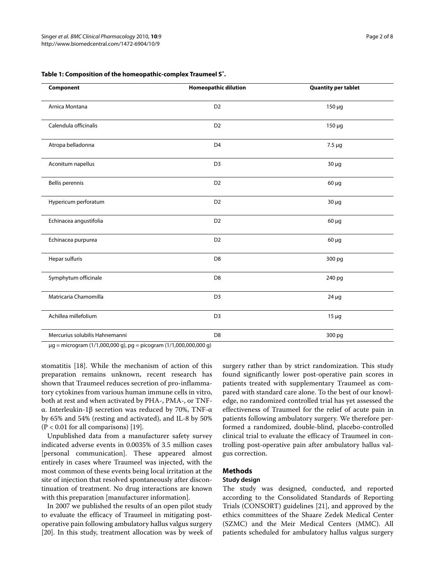| Component                      | <b>Homeopathic dilution</b>   | <b>Quantity per tablet</b><br>$150 \mu g$ |  |
|--------------------------------|-------------------------------|-------------------------------------------|--|
| Arnica Montana                 | D <sub>2</sub>                |                                           |  |
| Calendula officinalis          | D <sub>2</sub>                | $150 \mu g$                               |  |
| Atropa belladonna              | D <sub>4</sub><br>$7.5 \mu g$ |                                           |  |
| Aconitum napellus              | D <sub>3</sub>                | $30 \mu g$                                |  |
| <b>Bellis perennis</b>         | D <sub>2</sub>                | $60 \mu g$                                |  |
| Hypericum perforatum           | D <sub>2</sub>                | $30 \mu g$                                |  |
| Echinacea angustifolia         | D <sub>2</sub>                | $60 \mu g$                                |  |
| Echinacea purpurea             | D <sub>2</sub>                | $60 \mu g$                                |  |
| Hepar sulfuris                 | D <sub>8</sub><br>300 pg      |                                           |  |
| Symphytum officinale           | D <sub>8</sub>                | 240 pg                                    |  |
| Matricaria Chamomilla          | D <sub>3</sub>                | $24 \mu g$                                |  |
| Achillea millefolium           | D <sub>3</sub><br>$15 \mu g$  |                                           |  |
| Mercurius solubilis Hahnemanni | D <sub>8</sub>                | 300 pg                                    |  |

<span id="page-1-0"></span>**Table 1: Composition of the homeopathic-complex Traumeel S®.**

μg = microgram (1/1,000,000 g), pg = picogram (1/1,000,000,000 g)

stomatitis [\[18](#page-7-3)]. While the mechanism of action of this preparation remains unknown, recent research has shown that Traumeel reduces secretion of pro-inflammatory cytokines from various human immune cells in vitro, both at rest and when activated by PHA-, PMA-, or TNFα. Interleukin-1β secretion was reduced by 70%, TNF-α by 65% and 54% (resting and activated), and IL-8 by 50%  $(P < 0.01$  for all comparisons) [[19](#page-7-4)].

Unpublished data from a manufacturer safety survey indicated adverse events in 0.0035% of 3.5 million cases [personal communication]. These appeared almost entirely in cases where Traumeel was injected, with the most common of these events being local irritation at the site of injection that resolved spontaneously after discontinuation of treatment. No drug interactions are known with this preparation [manufacturer information].

In 2007 we published the results of an open pilot study to evaluate the efficacy of Traumeel in mitigating postoperative pain following ambulatory hallus valgus surgery [[20\]](#page-7-5). In this study, treatment allocation was by week of surgery rather than by strict randomization. This study found significantly lower post-operative pain scores in patients treated with supplementary Traumeel as compared with standard care alone. To the best of our knowledge, no randomized controlled trial has yet assessed the effectiveness of Traumeel for the relief of acute pain in patients following ambulatory surgery. We therefore performed a randomized, double-blind, placebo-controlled clinical trial to evaluate the efficacy of Traumeel in controlling post-operative pain after ambulatory hallus valgus correction.

# **Methods**

# **Study design**

The study was designed, conducted, and reported according to the Consolidated Standards of Reporting Trials (CONSORT) guidelines [\[21](#page-7-6)], and approved by the ethics committees of the Shaare Zedek Medical Center (SZMC) and the Meir Medical Centers (MMC). All patients scheduled for ambulatory hallus valgus surgery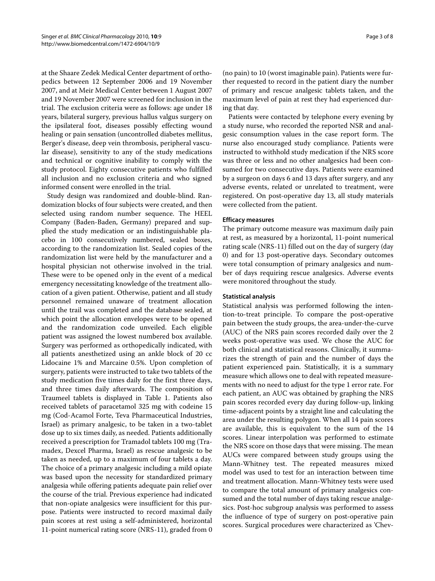at the Shaare Zedek Medical Center department of orthopedics between 12 September 2006 and 19 November 2007, and at Meir Medical Center between 1 August 2007 and 19 November 2007 were screened for inclusion in the trial. The exclusion criteria were as follows: age under 18 years, bilateral surgery, previous hallus valgus surgery on the ipsilateral foot, diseases possibly effecting wound healing or pain sensation (uncontrolled diabetes mellitus, Berger's disease, deep vein thrombosis, peripheral vascular disease), sensitivity to any of the study medications and technical or cognitive inability to comply with the study protocol. Eighty consecutive patients who fulfilled all inclusion and no exclusion criteria and who signed informed consent were enrolled in the trial.

Study design was randomized and double-blind. Randomization blocks of four subjects were created, and then selected using random number sequence. The HEEL Company (Baden-Baden, Germany) prepared and supplied the study medication or an indistinguishable placebo in 100 consecutively numbered, sealed boxes, according to the randomization list. Sealed copies of the randomization list were held by the manufacturer and a hospital physician not otherwise involved in the trial. These were to be opened only in the event of a medical emergency necessitating knowledge of the treatment allocation of a given patient. Otherwise, patient and all study personnel remained unaware of treatment allocation until the trail was completed and the database sealed, at which point the allocation envelopes were to be opened and the randomization code unveiled. Each eligible patient was assigned the lowest numbered box available. Surgery was performed as orthopedically indicated, with all patients anesthetized using an ankle block of 20 cc Lidocaine 1% and Marcaine 0.5%. Upon completion of surgery, patients were instructed to take two tablets of the study medication five times daily for the first three days, and three times daily afterwards. The composition of Traumeel tablets is displayed in Table [1](#page-1-0). Patients also received tablets of paracetamol 325 mg with codeine 15 mg (Cod-Acamol Forte, Teva Pharmaceutical Industries, Israel) as primary analgesic, to be taken in a two-tablet dose up to six times daily, as needed. Patients additionally received a prescription for Tramadol tablets 100 mg (Tramadex, Dexcel Pharma, Israel) as rescue analgesic to be taken as needed, up to a maximum of four tablets a day. The choice of a primary analgesic including a mild opiate was based upon the necessity for standardized primary analgesia while offering patients adequate pain relief over the course of the trial. Previous experience had indicated that non-opiate analgesics were insufficient for this purpose. Patients were instructed to record maximal daily pain scores at rest using a self-administered, horizontal 11-point numerical rating score (NRS-11), graded from 0

(no pain) to 10 (worst imaginable pain). Patients were further requested to record in the patient diary the number of primary and rescue analgesic tablets taken, and the maximum level of pain at rest they had experienced during that day.

Patients were contacted by telephone every evening by a study nurse, who recorded the reported NSR and analgesic consumption values in the case report form. The nurse also encouraged study compliance. Patients were instructed to withhold study medication if the NRS score was three or less and no other analgesics had been consumed for two consecutive days. Patients were examined by a surgeon on days 6 and 13 days after surgery, and any adverse events, related or unrelated to treatment, were registered. On post-operative day 13, all study materials were collected from the patient.

## **Efficacy measures**

The primary outcome measure was maximum daily pain at rest, as measured by a horizontal, 11-point numerical rating scale (NRS-11) filled out on the day of surgery (day 0) and for 13 post-operative days. Secondary outcomes were total consumption of primary analgesics and number of days requiring rescue analgesics. Adverse events were monitored throughout the study.

### **Statistical analysis**

Statistical analysis was performed following the intention-to-treat principle. To compare the post-operative pain between the study groups, the area-under-the-curve (AUC) of the NRS pain scores recorded daily over the 2 weeks post-operative was used. We chose the AUC for both clinical and statistical reasons. Clinically, it summarizes the strength of pain and the number of days the patient experienced pain. Statistically, it is a summary measure which allows one to deal with repeated measurements with no need to adjust for the type 1 error rate. For each patient, an AUC was obtained by graphing the NRS pain scores recorded every day during follow-up, linking time-adjacent points by a straight line and calculating the area under the resulting polygon. When all 14 pain scores are available, this is equivalent to the sum of the 14 scores. Linear interpolation was performed to estimate the NRS score on those days that were missing. The mean AUCs were compared between study groups using the Mann-Whitney test. The repeated measures mixed model was used to test for an interaction between time and treatment allocation. Mann-Whitney tests were used to compare the total amount of primary analgesics consumed and the total number of days taking rescue analgesics. Post-hoc subgroup analysis was performed to assess the influence of type of surgery on post-operative pain scores. Surgical procedures were characterized as 'Chev-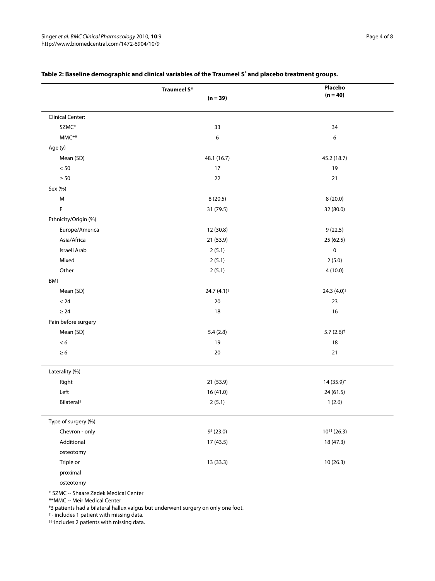|                         | Traumeel S®               | Placebo                 |  |
|-------------------------|---------------------------|-------------------------|--|
|                         | $(n = 39)$                | $(n = 40)$              |  |
|                         |                           |                         |  |
| <b>Clinical Center:</b> |                           |                         |  |
| SZMC*                   | 33                        | 34                      |  |
| $\mathsf{MMC^{**}}$     | $\boldsymbol{6}$          | 6                       |  |
| Age (y)                 |                           |                         |  |
| Mean (SD)               | 48.1 (16.7)               | 45.2 (18.7)             |  |
| $< 50\,$                | 17                        | 19                      |  |
| $\geq 50$               | 22                        | 21                      |  |
| Sex (%)                 |                           |                         |  |
| M                       | 8(20.5)                   | 8(20.0)                 |  |
| F                       | 31 (79.5)                 | 32 (80.0)               |  |
| Ethnicity/Origin (%)    |                           |                         |  |
| Europe/America          | 12 (30.8)                 | 9(22.5)                 |  |
| Asia/Africa             | 21 (53.9)                 | 25 (62.5)               |  |
| Israeli Arab            | 2(5.1)                    | $\pmb{0}$               |  |
| Mixed                   | 2(5.1)                    | 2(5.0)                  |  |
| Other                   | 2(5.1)                    | 4(10.0)                 |  |
| BMI                     |                           |                         |  |
| Mean (SD)               | 24.7 $(4.1)$ <sup>†</sup> | 24.3 $(4.0)^{+}$        |  |
| $< 24$                  | $20\,$                    | 23                      |  |
| $\geq 24$               | 18                        | 16                      |  |
| Pain before surgery     |                           |                         |  |
| Mean (SD)               | 5.4(2.8)                  | $5.7(2.6)$ <sup>†</sup> |  |
| $< 6\,$                 | 19                        | 18                      |  |
| $\geq 6$                | 20                        | 21                      |  |
| Laterality (%)          |                           |                         |  |
| Right                   | 21 (53.9)                 | 14 (35.9) <sup>†</sup>  |  |
| Left                    | 16 (41.0)                 | 24(61.5)                |  |
| Bilateral#              | 2(5.1)                    | 1(2.6)                  |  |
| Type of surgery (%)     |                           |                         |  |
| Chevron - only          | $9+ (23.0)$               | $10^{++} (26.3)$        |  |
| Additional              | 17 (43.5)                 | 18 (47.3)               |  |
| osteotomy               |                           |                         |  |
| Triple or               | 13 (33.3)                 | 10(26.3)                |  |
| proximal                |                           |                         |  |
| osteotomy               |                           |                         |  |

# **Table 2: Baseline demographic and clinical variables of the Traumeel S® and placebo treatment groups.**

\* SZMC -- Shaare Zedek Medical Center

\*\*MMC -- Meir Medical Center

#3 patients had a bilateral hallux valgus but underwent surgery on only one foot.

† - includes 1 patient with missing data.

††-includes 2 patients with missing data.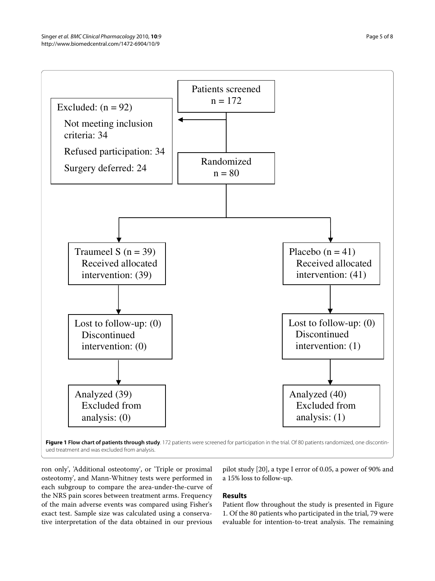<span id="page-4-0"></span>

ued treatment and was excluded from analysis.

ron only', 'Additional osteotomy', or 'Triple or proximal osteotomy', and Mann-Whitney tests were performed in each subgroup to compare the area-under-the-curve of the NRS pain scores between treatment arms. Frequency of the main adverse events was compared using Fisher's exact test. Sample size was calculated using a conservative interpretation of the data obtained in our previous

# pilot study [[20](#page-7-5)], a type I error of 0.05, a power of 90% and a 15% loss to follow-up.

# **Results**

Patient flow throughout the study is presented in Figure [1.](#page-4-0) Of the 80 patients who participated in the trial, 79 were evaluable for intention-to-treat analysis. The remaining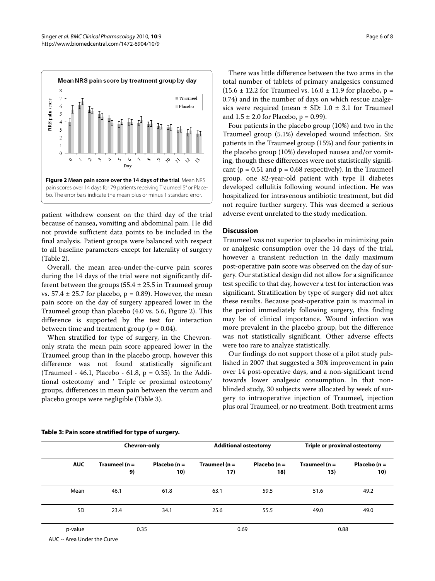<span id="page-5-0"></span>

patient withdrew consent on the third day of the trial because of nausea, vomiting and abdominal pain. He did not provide sufficient data points to be included in the final analysis. Patient groups were balanced with respect to all baseline parameters except for laterality of surgery (Table 2).

Overall, the mean area-under-the-curve pain scores during the 14 days of the trial were not significantly different between the groups  $(55.4 \pm 25.5 \text{ in Traumeel group})$ vs.  $57.4 \pm 25.7$  for placebo,  $p = 0.89$ ). However, the mean pain score on the day of surgery appeared lower in the Traumeel group than placebo (4.0 vs. 5.6, Figure [2\)](#page-5-0). This difference is supported by the test for interaction between time and treatment group ( $p = 0.04$ ).

When stratified for type of surgery, in the Chevrononly strata the mean pain score appeared lower in the Traumeel group than in the placebo group, however this difference was not found statistically significant (Traumeel - 46.1, Placebo - 61.8,  $p = 0.35$ ). In the 'Additional osteotomy' and ' Triple or proximal osteotomy' groups, differences in mean pain between the verum and placebo groups were negligible (Table [3](#page-5-1)).

There was little difference between the two arms in the total number of tablets of primary analgesics consumed  $(15.6 \pm 12.2$  for Traumeel vs.  $16.0 \pm 11.9$  for placebo, p = 0.74) and in the number of days on which rescue analgesics were required (mean  $\pm$  SD: 1.0  $\pm$  3.1 for Traumeel and  $1.5 \pm 2.0$  for Placebo,  $p = 0.99$ ).

Four patients in the placebo group (10%) and two in the Traumeel group (5.1%) developed wound infection. Six patients in the Traumeel group (15%) and four patients in the placebo group (10%) developed nausea and/or vomiting, though these differences were not statistically significant ( $p = 0.51$  and  $p = 0.68$  respectively). In the Traumeel group, one 82-year-old patient with type II diabetes developed cellulitis following wound infection. He was hospitalized for intravenous antibiotic treatment, but did not require further surgery. This was deemed a serious adverse event unrelated to the study medication.

# **Discussion**

Traumeel was not superior to placebo in minimizing pain or analgesic consumption over the 14 days of the trial, however a transient reduction in the daily maximum post-operative pain score was observed on the day of surgery. Our statistical design did not allow for a significance test specific to that day, however a test for interaction was significant. Stratification by type of surgery did not alter these results. Because post-operative pain is maximal in the period immediately following surgery, this finding may be of clinical importance. Wound infection was more prevalent in the placebo group, but the difference was not statistically significant. Other adverse effects were too rare to analyze statistically.

Our findings do not support those of a pilot study published in 2007 that suggested a 30% improvement in pain over 14 post-operative days, and a non-significant trend towards lower analgesic consumption. In that nonblinded study, 30 subjects were allocated by week of surgery to intraoperative injection of Traumeel, injection plus oral Traumeel, or no treatment. Both treatment arms

| <b>AUC</b> | <b>Chevron-only</b>    |                        | <b>Additional osteotomy</b> |                        | <b>Triple or proximal osteotomy</b> |                        |
|------------|------------------------|------------------------|-----------------------------|------------------------|-------------------------------------|------------------------|
|            | Traumeel ( $n =$<br>9) | Placebo ( $n =$<br>10) | Traumeel ( $n =$<br>17)     | Placebo ( $n =$<br>18) | Traumeel ( $n =$<br>13)             | Placebo ( $n =$<br>10) |
| Mean       | 46.1                   | 61.8                   | 63.1                        | 59.5                   | 51.6                                | 49.2                   |
| SD         | 23.4                   | 34.1                   | 25.6                        | 55.5                   | 49.0                                | 49.0                   |
| p-value    | 0.35                   |                        | 0.69                        |                        | 0.88                                |                        |

# <span id="page-5-1"></span>**Table 3: Pain score stratified for type of surgery.**

AUC -- Area Under the Curve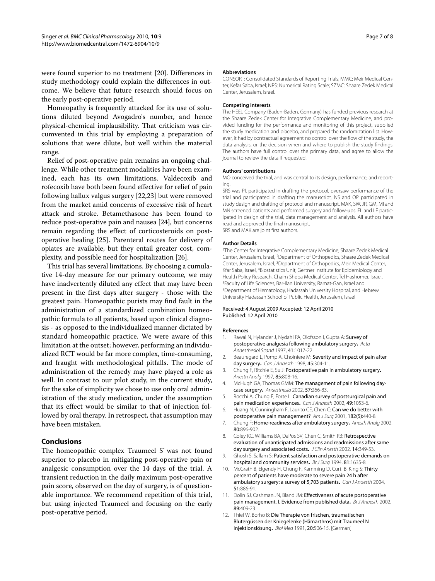were found superior to no treatment [[20\]](#page-7-5). Differences in study methodology could explain the differences in outcome. We believe that future research should focus on the early post-operative period.

Homeopathy is frequently attacked for its use of solutions diluted beyond Avogadro's number, and hence physical-chemical implausibility. That criticism was circumvented in this trial by employing a preparation of solutions that were dilute, but well within the material range.

Relief of post-operative pain remains an ongoing challenge. While other treatment modalities have been examined, each has its own limitations. Valdecoxib and rofecoxib have both been found effective for relief of pain following hallux valgus surgery [[22,](#page-7-7)[23\]](#page-7-8) but were removed from the market amid concerns of excessive risk of heart attack and stroke. Betamethasone has been found to reduce post-operative pain and nausea [[24\]](#page-7-9), but concerns remain regarding the effect of corticosteroids on postoperative healing [[25](#page-7-10)]. Parenteral routes for delivery of opiates are available, but they entail greater cost, complexity, and possible need for hospitalization [\[26](#page-7-11)].

This trial has several limitations. By choosing a cumulative 14-day measure for our primary outcome, we may have inadvertently diluted any effect that may have been present in the first days after surgery - those with the greatest pain. Homeopathic purists may find fault in the administration of a standardized combination homeopathic formula to all patients, based upon clinical diagnosis - as opposed to the individualized manner dictated by standard homeopathic practice. We were aware of this limitation at the outset; however, performing an individualized RCT would be far more complex, time-consuming, and fraught with methodological pitfalls. The mode of administration of the remedy may have played a role as well. In contrast to our pilot study, in the current study, for the sake of simplicity we chose to use only oral administration of the study medication, under the assumption that its effect would be similar to that of injection followed by oral therapy. In retrospect, that assumption may have been mistaken.

# **Conclusions**

The homeopathic complex Traumeel S<sup>®</sup> was not found superior to placebo in mitigating post-operative pain or analgesic consumption over the 14 days of the trial. A transient reduction in the daily maximum post-operative pain score, observed on the day of surgery, is of questionable importance. We recommend repetition of this trial, but using injected Traumeel and focusing on the early post-operative period.

#### **Abbreviations**

CONSORT: Consolidated Standards of Reporting Trials; MMC: Meir Medical Center, Kefar Saba, Israel; NRS: Numerical Rating Scale; SZMC: Shaare Zedek Medical Center, Jerusalem, Israel.

#### **Competing interests**

The HEEL Company (Baden-Baden, Germany) has funded previous research at the Shaare Zedek Center for Integrative Complementary Medicine, and provided funding for the performance and monitoring of this project, supplied the study medication and placebo, and prepared the randomization list. However, it had by contractual agreement no control over the flow of the study, the data analysis, or the decision when and where to publish the study findings. The authors have full control over the primary data, and agree to allow the journal to review the data if requested.

#### **Authors' contributions**

MO conceived the trial, and was central to its design, performance, and reporting.

SRS was PI, participated in drafting the protocol, oversaw performance of the trial and participated in drafting the manuscript. NS and OP participated in study design and drafting of protocol and manuscript. MAK, SW, JR, GM, MI and MN screened patients and performed surgery and follow-ups. EL and LF participated in design of the trial, data management and analysis. All authors have read and approved the final manuscript. SRS and MAK are joint first authors.

# **Author Details**

1The Center for Integrative Complementary Medicine, Shaare Zedek Medical Center, Jerusalem, Israel, 2Department of Orthopedics, Shaare Zedek Medical Center, Jerusalem, Israel, 3Department of Orthopedics, Meir Medical Center, Kfar Saba, Israel, 4Biostatistics Unit, Gertner Institute for Epidemiology and Health Policy Research, Chaim Sheba Medical Center, Tel Hashomer, Israel, <sup>5</sup>Faculty of Life Sciences, Bar-Ilan University, Ramat-Gan, Israel and Hebrew<br><sup>6</sup>Department of Hematology, Hadassah University Hospital, and Hebrew University Hadassah School of Public Health, Jerusalem, Israel

#### Received: 4 August 2009 Accepted: 12 April 2010 Published: 12 April 2010

#### **References**

- <span id="page-6-0"></span>1. Rawal N, Hylander J, Nydahl PA, Olofsson I, Gupta A: Survey of postoperative analgesia following ambulatory surgery**.** Acta Anaesthesiol Scand 1997, 41:1017-22.
- 2. Beauregard L, Pomp A, Choiniere M: Severity and impact of pain after day surgery**.** Can J Anaesth 1998, 45:304-11.
- 3. Chung F, Ritchie E, Su J: Postoperative pain in ambulatory surgery**.** Anesth Analg 1997, 85:808-16.
- 4. McHugh GA, Thomas GMM: The management of pain following daycase surgery**.** Anaesthesia 2002, 57:266-83.
- 5. Rocchi A, Chung F, Forte L: Canadian survey of postsurgical pain and pain medication experiences**.** Can J Anaesth 2002, 49:1053-6.
- <span id="page-6-1"></span>6. Huang N, Cunningham F, Laurito CE, Chen C: Can we do better with postoperativepain management? Am J Surg 2001, 182(5):440-8.
- <span id="page-6-2"></span>7. Chung F: Home-readiness after ambulatory surgery**.** Anesth Analg 2002, 80:896-902.
- <span id="page-6-3"></span>8. Coley KC, Williams BA, DaPos SV, Chen C, Smith RB: Retrospective evaluation of unanticipated admissions and readmissions after same day surgery and associated costs. J Clin Anesth 2002, 14:349-53.
- <span id="page-6-4"></span>9. Ghosh S, Sallam S: Patient satisfaction and postoperative demands on hospital and community services**[.](http://www.ncbi.nlm.nih.gov/entrez/query.fcgi?cmd=Retrieve&db=PubMed&dopt=Abstract&list_uids=7677820)** Br J Surg 1994, 81:1635-8.
- <span id="page-6-5"></span>10. McGrath B, Elgendy H, Chung F, Kamming D, Curti B, King S: Thirty percent of patients have moderate to severe pain 24 h after ambulatory surgery: a survey of 5,703 patients**.** Can J Anaesth 2004, 51:886-91.
- <span id="page-6-6"></span>11. Dolin SJ, Cashman JN, Bland JM: Effectiveness of acute postoperative pain management. I. Evidence from published data**[.](http://www.ncbi.nlm.nih.gov/entrez/query.fcgi?cmd=Retrieve&db=PubMed&dopt=Abstract&list_uids=12402719)** Br J Anaesth 2002, 89:409-23.
- <span id="page-6-7"></span>12. Thiel W, Borho B: Die Therapie von frischen, traumatischen Blutergüssen der Kniegelenke (Hämarthros) mit Traumeel N Injektionslösung**.** Biol Med 1991, 20:506-15. [German]